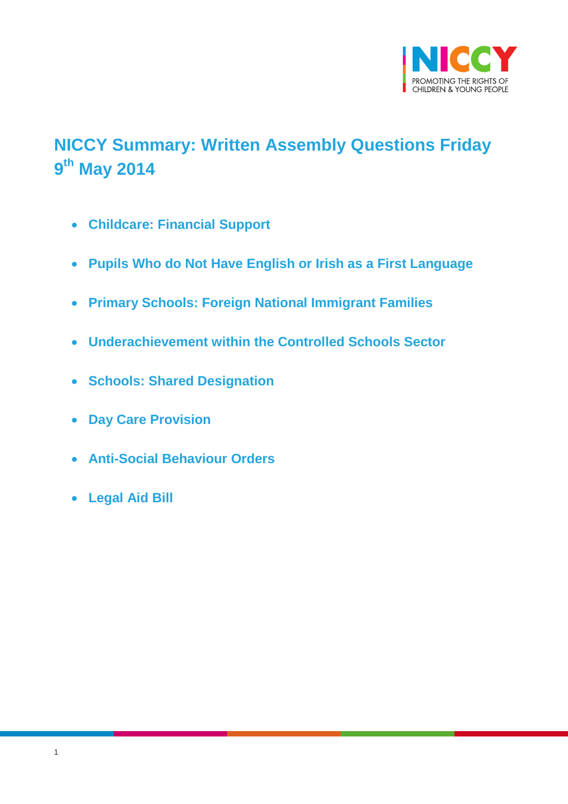

# <span id="page-0-0"></span>**NICCY Summary: Written Assembly Questions Friday 9 th May 2014**

- **[Childcare: Financial Support](#page-1-0)**
- **Pupils Who do Not [Have English or Irish as a First Language](#page-1-1)**
- **[Primary Schools: Foreign National Immigrant Families](#page-2-0)**
- **[Underachievement within the Controlled Schools Sector](#page-2-1)**
- **[Schools: Shared Designation](#page-3-0)**
- **[Day Care Provision](#page-3-1)**
- **[Anti-Social Behaviour Orders](#page-4-0)**
- **[Legal Aid Bill](#page-5-0)**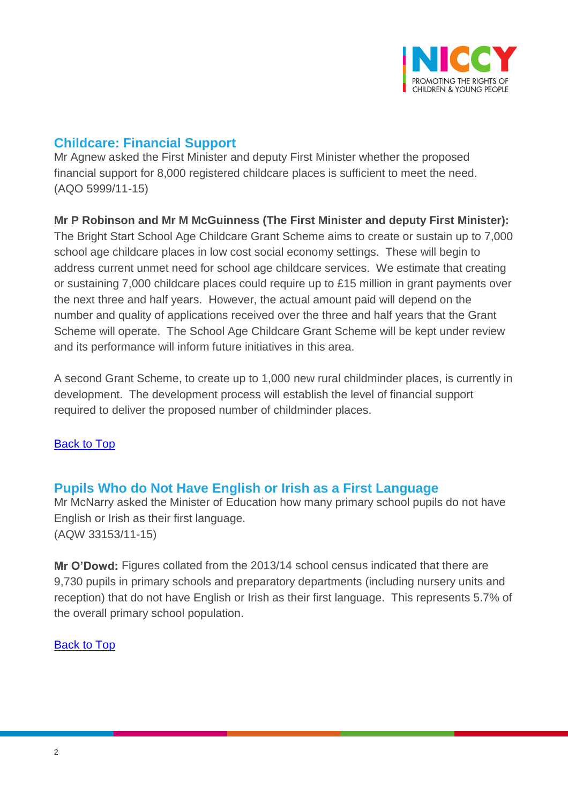

# <span id="page-1-0"></span>**Childcare: Financial Support**

Mr Agnew asked the First Minister and deputy First Minister whether the proposed financial support for 8,000 registered childcare places is sufficient to meet the need. (AQO 5999/11-15)

## **Mr P Robinson and Mr M McGuinness (The First Minister and deputy First Minister):**

The Bright Start School Age Childcare Grant Scheme aims to create or sustain up to 7,000 school age childcare places in low cost social economy settings. These will begin to address current unmet need for school age childcare services. We estimate that creating or sustaining 7,000 childcare places could require up to £15 million in grant payments over the next three and half years. However, the actual amount paid will depend on the number and quality of applications received over the three and half years that the Grant Scheme will operate. The School Age Childcare Grant Scheme will be kept under review and its performance will inform future initiatives in this area.

A second Grant Scheme, to create up to 1,000 new rural childminder places, is currently in development. The development process will establish the level of financial support required to deliver the proposed number of childminder places.

### [Back to Top](#page-0-0)

## <span id="page-1-1"></span>**Pupils Who do Not Have English or Irish as a First Language**

Mr McNarry asked the Minister of Education how many primary school pupils do not have English or Irish as their first language. (AQW 33153/11-15)

**Mr O'Dowd:** Figures collated from the 2013/14 school census indicated that there are 9,730 pupils in primary schools and preparatory departments (including nursery units and reception) that do not have English or Irish as their first language. This represents 5.7% of the overall primary school population.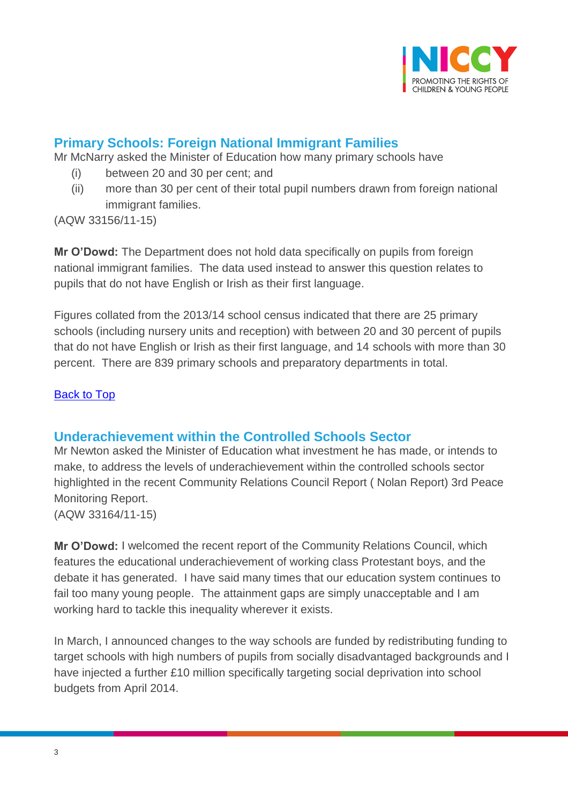

# <span id="page-2-0"></span>**Primary Schools: Foreign National Immigrant Families**

Mr McNarry asked the Minister of Education how many primary schools have

- (i) between 20 and 30 per cent; and
- (ii) more than 30 per cent of their total pupil numbers drawn from foreign national immigrant families.

(AQW 33156/11-15)

**Mr O'Dowd:** The Department does not hold data specifically on pupils from foreign national immigrant families. The data used instead to answer this question relates to pupils that do not have English or Irish as their first language.

Figures collated from the 2013/14 school census indicated that there are 25 primary schools (including nursery units and reception) with between 20 and 30 percent of pupils that do not have English or Irish as their first language, and 14 schools with more than 30 percent. There are 839 primary schools and preparatory departments in total.

#### [Back to Top](#page-0-0)

### <span id="page-2-1"></span>**Underachievement within the Controlled Schools Sector**

Mr Newton asked the Minister of Education what investment he has made, or intends to make, to address the levels of underachievement within the controlled schools sector highlighted in the recent Community Relations Council Report ( Nolan Report) 3rd Peace Monitoring Report.

(AQW 33164/11-15)

**Mr O'Dowd:** I welcomed the recent report of the Community Relations Council, which features the educational underachievement of working class Protestant boys, and the debate it has generated. I have said many times that our education system continues to fail too many young people. The attainment gaps are simply unacceptable and I am working hard to tackle this inequality wherever it exists.

In March, I announced changes to the way schools are funded by redistributing funding to target schools with high numbers of pupils from socially disadvantaged backgrounds and I have injected a further £10 million specifically targeting social deprivation into school budgets from April 2014.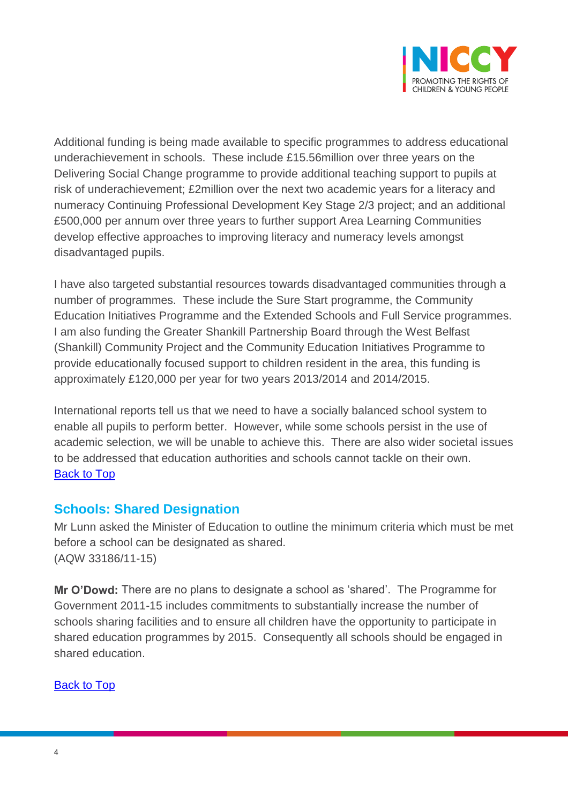

Additional funding is being made available to specific programmes to address educational underachievement in schools. These include £15.56million over three years on the Delivering Social Change programme to provide additional teaching support to pupils at risk of underachievement; £2million over the next two academic years for a literacy and numeracy Continuing Professional Development Key Stage 2/3 project; and an additional £500,000 per annum over three years to further support Area Learning Communities develop effective approaches to improving literacy and numeracy levels amongst disadvantaged pupils.

I have also targeted substantial resources towards disadvantaged communities through a number of programmes. These include the Sure Start programme, the Community Education Initiatives Programme and the Extended Schools and Full Service programmes. I am also funding the Greater Shankill Partnership Board through the West Belfast (Shankill) Community Project and the Community Education Initiatives Programme to provide educationally focused support to children resident in the area, this funding is approximately £120,000 per year for two years 2013/2014 and 2014/2015.

International reports tell us that we need to have a socially balanced school system to enable all pupils to perform better. However, while some schools persist in the use of academic selection, we will be unable to achieve this. There are also wider societal issues to be addressed that education authorities and schools cannot tackle on their own. [Back to Top](#page-0-0)

## <span id="page-3-0"></span>**Schools: Shared Designation**

Mr Lunn asked the Minister of Education to outline the minimum criteria which must be met before a school can be designated as shared. (AQW 33186/11-15)

<span id="page-3-1"></span>**Mr O'Dowd:** There are no plans to designate a school as 'shared'. The Programme for Government 2011-15 includes commitments to substantially increase the number of schools sharing facilities and to ensure all children have the opportunity to participate in shared education programmes by 2015. Consequently all schools should be engaged in shared education.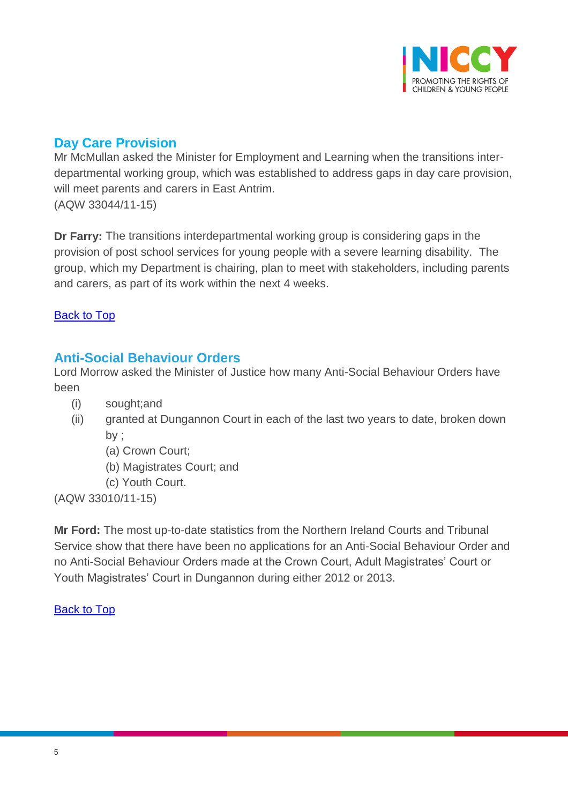

## **Day Care Provision**

Mr McMullan asked the Minister for Employment and Learning when the transitions interdepartmental working group, which was established to address gaps in day care provision, will meet parents and carers in East Antrim. (AQW 33044/11-15)

**Dr Farry:** The transitions interdepartmental working group is considering gaps in the provision of post school services for young people with a severe learning disability. The group, which my Department is chairing, plan to meet with stakeholders, including parents and carers, as part of its work within the next 4 weeks.

#### [Back to Top](#page-0-0)

## <span id="page-4-0"></span>**Anti-Social Behaviour Orders**

Lord Morrow asked the Minister of Justice how many Anti-Social Behaviour Orders have been

- (i) sought;and
- (ii) granted at Dungannon Court in each of the last two years to date, broken down by ;
	- (a) Crown Court;
	- (b) Magistrates Court; and
	- (c) Youth Court.

(AQW 33010/11-15)

**Mr Ford:** The most up-to-date statistics from the Northern Ireland Courts and Tribunal Service show that there have been no applications for an Anti-Social Behaviour Order and no Anti-Social Behaviour Orders made at the Crown Court, Adult Magistrates' Court or Youth Magistrates' Court in Dungannon during either 2012 or 2013.